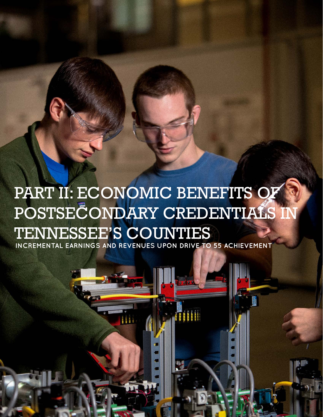# PART II: ECONOMIC BENEFITS OF POSTSECONDARY CREDENTIALS IN TENNESSEE'S COUNTIES

**INCREMENTAL EARNINGS AND REVENUES UPON DRIVE TO 55 ACHIEVEMENT**

H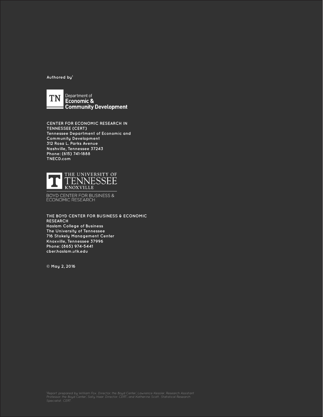**Authored by1**



Department of Economic & **Community Development** 

**CENTER FOR ECONOMIC RESEARCH IN TENNESSEE (CERT) Tennessee Department of Economic and Community Development 312 Rosa L. Parks Avenue Nashville, Tennessee 37243 Phone: (615) 741-1888 TNECD.com**



BOYD CENTER FOR BUSINESS &<br>ECONOMIC RESEARCH

**THE BOYD CENTER FOR BUSINESS & ECONOMIC RESEARCH Haslam College of Business The University of Tennessee 716 Stokely Management Center Knoxville, Tennessee 37996 Phone: (865) 974-5441 cber.haslam.utk.edu**

**© May 2, 2016**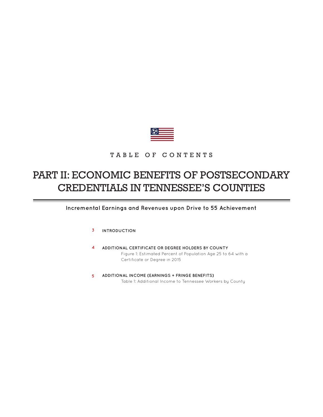

#### TABLE OF CONTENTS

### PART II: ECONOMIC BENEFITS OF POSTSECONDARY CREDENTIALS IN TENNESSEE'S COUNTIES

**Incremental Earnings and Revenues upon Drive to 55 Achievement**

- **3 INTRODUCTION**
- **4 ADDITIONAL CERTIFICATE OR DEGREE HOLDERS BY COUNTY** Figure 1: Estimated Percent of Population Age 25 to 64 with a Certificate or Degree in 2015
- **5 ADDITIONAL INCOME (EARNINGS + FRINGE BENEFITS)** Table 1: Additional Income to Tennessee Workers by County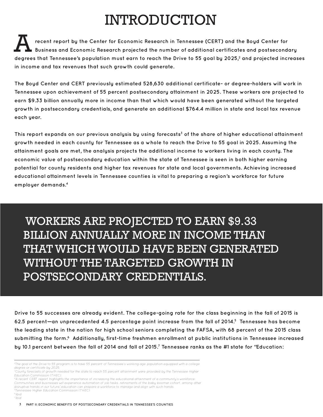## INTRODUCTION

recent report by the Center for Economic Research in Tennessee (CERT) and the Boyd Center for **Business and Economic Research projected the number of additional certificates and postsecondary degrees that Tennessee's population must earn to reach the Drive to 55 goal by 2025,2 and projected increases in income and tax revenues that such growth could generate.** 

**The Boyd Center and CERT previously estimated 528,630 additional certificate- or degree-holders will work in Tennessee upon achievement of 55 percent postsecondary attainment in 2025. These workers are projected to earn \$9.33 billion annually more in income than that which would have been generated without the targeted growth in postsecondary credentials, and generate an additional \$764.4 million in state and local tax revenue each year.**

This report expands on our previous analysis by using forecasts<sup>3</sup> of the share of higher educational attainment **growth needed in each county for Tennessee as a whole to reach the Drive to 55 goal in 2025. Assuming the attainment goals are met, the analysis projects the additional income to workers living in each county. The economic value of postsecondary education within the state of Tennessee is seen in both higher earning potential for county residents and higher tax revenues for state and local governments. Achieving increased educational attainment levels in Tennessee counties is vital to preparing a region's workforce for future employer demands.4**

 WORKERS ARE PROJECTED TO EARN \$9.33 BILLION ANNUALLY MORE IN INCOME THAN THAT WHICH WOULD HAVE BEEN GENERATED WITHOUT THE TARGETED GROWTH IN POSTSECONDARY CREDENTIALS.

**Drive to 55 successes are already evident. The college-going rate for the class beginning in the fall of 2015 is 62.5 percent—an unprecedented 4.5 percentage point increase from the fall of 2014.5 Tennessee has become the leading state in the nation for high school seniors completing the FAFSA, with 68 percent of the 2015 class submitting the form.6 Additionally, first-time freshmen enrollment at public institutions in Tennessee increased by 10.1 percent between the fall of 2014 and fall of 2015.7 Tennessee ranks as the #1 state for "Education:** 

*5Tennessee Higher Education Commission (THEC)*

*<sup>2</sup>The goal of the Drive to 55 program is to have 55 percent of Tennessee's working age population equipped with a college degree or certificate by 2025.*

*<sup>3</sup>County forecasts of growth needed for the state to reach 55 percent attainment were provided by the Tennessee Higher Education Commission (THEC).*

*<sup>4</sup>A recent CERT report highlights the importance of increasing the educational attainment of a community's workforce. Communities and businesses will experience automation of job tasks, retirements of the baby boomer cohort, among other* 

*disruptive trends in our future; education can prepare a workforce to manage and align with such trends.*

*<sup>6</sup>Ibid 7Ibid*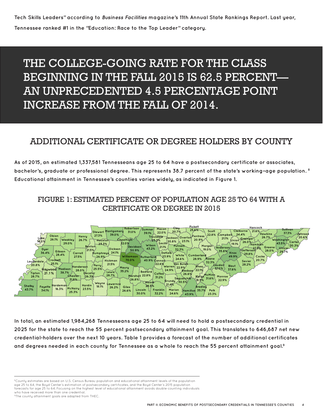**Tech Skills Leaders" according to** *Business Facilities* **magazine's 11th Annual State Rankings Report. Last year, Tennessee ranked #1 in the "Education: Race to the Top Leader" category.** 

THE COLLEGE-GOING RATE FOR THE CLASS BEGINNING IN THE FALL 2015 IS 62.5 PERCENT-AN UNPRECEDENTED 4.5 PERCENTAGE POINT INCREASE FROM THE FALL OF 2014.

### ADDITIONAL CERTIFICATE OR DEGREE HOLDERS BY COUNTY

**As of 2015, an estimated 1,337,581 Tennesseans age 25 to 64 have a postsecondary certificate or associates, bachelor's, graduate or professional degree. This represents 38.7 percent of the state's working–age population. 8 Educational attainment in Tennessee's counties varies widely, as indicated in Figure 1.**

#### FIGURE 1: ESTIMATED PERCENT OF POPULATION AGE 25 TO 64 WITH A CERTIFICATE OR DEGREE IN 2015



**In total, an estimated 1,984,268 Tennesseans age 25 to 64 will need to hold a postsecondary credential in 2025 for the state to reach the 55 percent postsecondary attainment goal. This translates to 646,687 net new credential-holders over the next 10 years. Table 1 provides a forecast of the number of additional certificates and degrees needed in each county for Tennessee as a whole to reach the 55 percent attainment goal.9**

8County estimates are based on U.S. Census Bureau population and educational attainment levels of the population age 25 to 64, the Boyd Center's estimation of postsecondary certificates, and the Boyd Center's 2015 population forecasts for age 25 to 64. Focusing on the highest level of educational attainment avoids double-counting individuals

who have received more than one credential.

9The county attainment goals are adapted from THEC.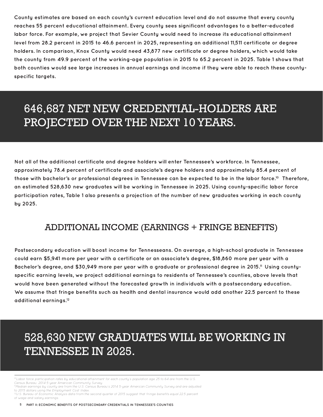**County estimates are based on each county's current education level and do not assume that every county reaches 55 percent educational attainment. Every county sees significant advantages to a better-educated labor force. For example, we project that Sevier County would need to increase its educational attainment level from 28.2 percent in 2015 to 46.6 percent in 2025, representing an additional 11,511 certificate or degree holders. In comparison, Knox County would need 43,877 new certificate or degree holders, which would take the county from 49.9 percent of the working-age population in 2015 to 65.2 percent in 2025. Table 1 shows that both counties would see large increases in annual earnings and income if they were able to reach these countyspecific targets.**

### 646,687 NET NEW CREDENTIAL-HOLDERS ARE PROJECTED OVER THE NEXT 10 YEARS.

**Not all of the additional certificate and degree holders will enter Tennessee's workforce. In Tennessee, approximately 78.4 percent of certificate and associate's degree holders and approximately 85.4 percent of those with bachelor's or professional degrees in Tennessee can be expected to be in the labor force.10 Therefore, an estimated 528,630 new graduates will be working in Tennessee in 2025. Using county-specific labor force participation rates, Table 1 also presents a projection of the number of new graduates working in each county by 2025.**

#### ADDITIONAL INCOME (EARNINGS + FRINGE BENEFITS)

**Postsecondary education will boost income for Tennesseans. On average, a high-school graduate in Tennessee could earn \$5,941 more per year with a certificate or an associate's degree, \$18,860 more per year with a**  Bachelor's degree, and \$30,949 more per year with a graduate or professional degree in 2015.<sup>11</sup> Using county**specific earning levels, we project additional earnings to residents of Tennessee's counties, above levels that would have been generated without the forecasted growth in individuals with a postsecondary education. We assume that fringe benefits such as health and dental insurance would add another 22.5 percent to these additional earnings.12**

### 528,630 NEW GRADUATES WILL BE WORKING IN TENNESSEE IN 2025.

*10Labor force participation rates by educational attainment for each county's population age 25 to 64 are from the U.S. Census Bureau, 2014 5-year American Community Survey.*

*11Median earnings by county are from the U.S. Census Bureau's 2014 5-year American Community Survey and are adjusted to 2015 dollars using the Employment Cost Index.*

*12U.S. Bureau of Economic Analysis data from the second quarter of 2015 suggest that fringe benefits equal 22.5 percent of wage and salary earnings.*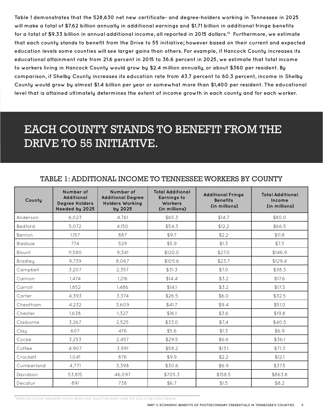**Table 1 demonstrates that the 528,630 net new certificate- and degree-holders working in Tennessee in 2025 will make a total of \$7.62 billion annually in additional earnings and \$1.71 billion in additional fringe benefits for a total of \$9.33 billion in annual additional income, all reported in 2015 dollars.13 Furthermore, we estimate that each county stands to benefit from the Drive to 55 initiative; however based on their current and expected education levels some counties will see larger gains than others. For example, if Hancock County increases its educational attainment rate from 21.6 percent in 2015 to 36.6 percent in 2025, we estimate that total income to workers living in Hancock County would grow by \$2.4 million annually, or about \$360 per resident. By comparison, if Shelby County increases its education rate from 43.7 percent to 60.3 percent, income in Shelby County would grow by almost \$1.4 billion per year or somewhat more than \$1,400 per resident. The educational level that is attained ultimately determines the extent of income growth in each county and for each worker.**

### EACH COUNTY STANDS TO BENEFIT FROM THE DRIVE TO 55 INITIATIVE.

#### TABLE 1: ADDITIONAL INCOME TO TENNESSEE WORKERS BY COUNTY

| County         | Number of<br>Additional<br><b>Degree Holders</b><br>Needed by 2025 | Number of<br><b>Additional Degree</b><br><b>Holders Working</b><br>by 2025 | <b>Total Additional</b><br><b>Earnings to</b><br>Workers<br>(in millions) | <b>Additional Fringe</b><br><b>Benefits</b><br>(in millions) | <b>Total Additional</b><br>Income<br>(in millions) |
|----------------|--------------------------------------------------------------------|----------------------------------------------------------------------------|---------------------------------------------------------------------------|--------------------------------------------------------------|----------------------------------------------------|
| Anderson       | 6,023                                                              | 4,761                                                                      | \$65.3                                                                    | \$14.7                                                       | \$80.0                                             |
| Bedford        | 5.072                                                              | 4.150                                                                      | \$54.3                                                                    | \$12.2                                                       | \$66.5                                             |
| Benton         | 1,157                                                              | 887                                                                        | \$9.7                                                                     | \$2.2                                                        | \$11.8                                             |
| Bledsoe        | 774                                                                | 529                                                                        | \$5.9                                                                     | \$1.3                                                        | \$7.3                                              |
| Blount         | 11,580                                                             | 9,341                                                                      | \$120.0                                                                   | \$27.0                                                       | \$146.9                                            |
| <b>Bradley</b> | 9,739                                                              | 8,067                                                                      | \$105.6                                                                   | \$23.7                                                       | \$129.4                                            |
| Campbell       | 3,207                                                              | 2,357                                                                      | \$31.3                                                                    | \$7.0                                                        | \$38.3                                             |
| Cannon         | 1,474                                                              | 1,216                                                                      | \$14.4                                                                    | \$3.2                                                        | \$17.6                                             |
| Carroll        | 1.852                                                              | 1.486                                                                      | \$14.1                                                                    | \$3.2                                                        | \$17.3                                             |
| Carter         | 4,393                                                              | 3,374                                                                      | \$26.5                                                                    | \$6.0                                                        | \$32.5                                             |
| Cheatham       | 4,232                                                              | 3.609                                                                      | \$41.7                                                                    | \$9.4                                                        | \$51.0                                             |
| Chester        | 1,638                                                              | 1,327                                                                      | \$16.1                                                                    | \$3.6                                                        | \$19.8                                             |
| Claiborne      | 3,267                                                              | 2,525                                                                      | \$33.0                                                                    | \$7.4                                                        | \$40.5                                             |
| Clay           | 607                                                                | 476                                                                        | \$5.6                                                                     | \$1.3                                                        | \$6.9                                              |
| Cocke          | 3,253                                                              | 2,457                                                                      | \$29.5                                                                    | \$6.6                                                        | \$36.1                                             |
| Coffee         | 4,907                                                              | 3,991                                                                      | \$58.2                                                                    | \$13.1                                                       | \$71.3                                             |
| Crockett       | 1,041                                                              | 876                                                                        | \$9.9                                                                     | \$2.2                                                        | \$12.1                                             |
| Cumberland     | 4,771                                                              | 3,398                                                                      | \$30.6                                                                    | \$6.9                                                        | \$37.5                                             |
| Davidson       | 53,815                                                             | 46,097                                                                     | \$705.3                                                                   | \$158.5                                                      | \$863.8                                            |
| Decatur        | 891                                                                | 738                                                                        | \$6.7                                                                     | \$1.5                                                        | \$8.2                                              |

*13Additional income represents income above what would have been made with only a high school degree.*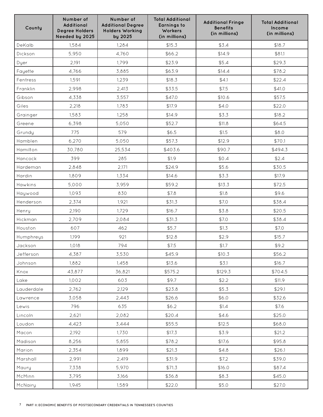| County     | Number of<br>Additional<br><b>Degree Holders</b><br>Needed by 2025 | Number of<br><b>Additional Degree</b><br><b>Holders Working</b><br>by 2025 | <b>Total Additional</b><br><b>Earnings to</b><br>Workers<br>(in millions) | <b>Additional Fringe</b><br><b>Benefits</b><br>(in millions) | <b>Total Additional</b><br>Income<br>(in millions) |
|------------|--------------------------------------------------------------------|----------------------------------------------------------------------------|---------------------------------------------------------------------------|--------------------------------------------------------------|----------------------------------------------------|
| DeKalb     | 1,584                                                              | 1,284                                                                      | \$15.3                                                                    | \$3.4                                                        | \$18.7                                             |
| Dickson    | 5,950                                                              | 4.760                                                                      | \$66.2                                                                    | \$14.9                                                       | \$81.1                                             |
| Dyer       | 2,191                                                              | 1,799                                                                      | \$23.9                                                                    | \$5.4                                                        | \$29.3                                             |
| Fayette    | 4,766                                                              | 3,885                                                                      | \$63.9                                                                    | \$14.4                                                       | \$78.2                                             |
| Fentress   | 1,591                                                              | 1,239                                                                      | \$18.3                                                                    | \$4.1                                                        | \$22.4                                             |
| Franklin   | 2,998                                                              | 2,413                                                                      | \$33.5                                                                    | \$7.5                                                        | \$41.0                                             |
| Gibson     | 4,338                                                              | 3,557                                                                      | \$47.0                                                                    | \$10.6                                                       | \$57.5                                             |
| Giles      | 2,218                                                              | 1,783                                                                      | \$17.9                                                                    | \$4.0                                                        | \$22.0                                             |
| Grainger   | 1,583                                                              | 1,258                                                                      | \$14.9                                                                    | \$3.3                                                        | \$18.2                                             |
| Greene     | 6,398                                                              | 5,050                                                                      | \$52.7                                                                    | \$11.8                                                       | \$64.5                                             |
| Grundy     | 775                                                                | 579                                                                        | \$6.5                                                                     | \$1.5                                                        | \$8.0                                              |
| Hamblen    | 6,270                                                              | 5,050                                                                      | \$57.3                                                                    | \$12.9                                                       | \$70.1                                             |
| Hamilton   | 30,780                                                             | 25,534                                                                     | \$403.6                                                                   | \$90.7                                                       | \$494.3                                            |
| Hancock    | 399                                                                | 285                                                                        | \$1.9                                                                     | \$0.4                                                        | \$2.4                                              |
| Hardeman   | 2,848                                                              | 2,171                                                                      | \$24.9                                                                    | \$5.6                                                        | \$30.5                                             |
| Hardin     | 1,809                                                              | 1,334                                                                      | \$14.6                                                                    | \$3.3                                                        | \$17.9                                             |
| Hawkins    | 5,000                                                              | 3,959                                                                      | \$59.2                                                                    | \$13.3                                                       | \$72.5                                             |
| Haywood    | 1,093                                                              | 830                                                                        | \$7.8                                                                     | \$1.8                                                        | \$9.6                                              |
| Henderson  | 2,374                                                              | 1,921                                                                      | \$31.3                                                                    | \$7.0                                                        | \$38.4                                             |
| Henry      | 2,190                                                              | 1,729                                                                      | \$16.7                                                                    | \$3.8                                                        | \$20.5                                             |
| Hickman    | 2,709                                                              | 2,084                                                                      | \$31.3                                                                    | \$7.0                                                        | \$38.4                                             |
| Houston    | 607                                                                | 462                                                                        | \$5.7                                                                     | \$1.3                                                        | \$7.0                                              |
| Humphreys  | 1,199                                                              | 921                                                                        | \$12.8                                                                    | \$2.9                                                        | \$15.7                                             |
| Jackson    | 1,018                                                              | 794                                                                        | \$7.5                                                                     | \$1.7                                                        | \$9.2                                              |
| Jefferson  | 4,387                                                              | 3,530                                                                      | \$45.9                                                                    | \$10.3                                                       | \$56.2                                             |
| Johnson    | 1,882                                                              | 1,458                                                                      | \$13.6                                                                    | \$3.1                                                        | \$16.7                                             |
| Knox       | 43,877                                                             | 36,821                                                                     | \$575.2                                                                   | \$129.3                                                      | \$704.5                                            |
| Lake       | 1,002                                                              | 603                                                                        | \$9.7                                                                     | \$2.2                                                        | \$11.9                                             |
| Lauderdale | 2,762                                                              | 2,129                                                                      | \$23.8                                                                    | \$5.3                                                        | \$29.1                                             |
| Lawrence   | 3,058                                                              | 2,443                                                                      | \$26.6                                                                    | \$6.0                                                        | \$32.6                                             |
| Lewis      | 796                                                                | 635                                                                        | \$6.2                                                                     | \$1.4                                                        | \$7.6                                              |
| Lincoln    | 2,621                                                              | 2,082                                                                      | \$20.4                                                                    | \$4.6                                                        | \$25.0                                             |
| Loudon     | 4,423                                                              | 3,444                                                                      | \$55.5                                                                    | \$12.5                                                       | \$68.0                                             |
| Macon      | 2,192                                                              | 1,730                                                                      | \$17.3                                                                    | \$3.9                                                        | \$21.2                                             |
| Madison    | 8,256                                                              | 5,855                                                                      | \$78.2                                                                    | \$17.6                                                       | \$95.8                                             |
| Marion     | 2,354                                                              | 1,899                                                                      | \$21.3                                                                    | \$4.8                                                        | \$26.1                                             |
| Marshall   | 2,991                                                              | 2,419                                                                      | \$31.9                                                                    | \$7.2                                                        | \$39.0                                             |
| Maury      | 7,338                                                              | 5,970                                                                      | \$71.3                                                                    | \$16.0                                                       | \$87.4                                             |
| McMinn     | 3,795                                                              | 3,166                                                                      | \$36.8                                                                    | \$8.3                                                        | \$45.0                                             |
| McNairy    | 1,945                                                              | 1,589                                                                      | \$22.0                                                                    | \$5.0                                                        | \$27.0                                             |